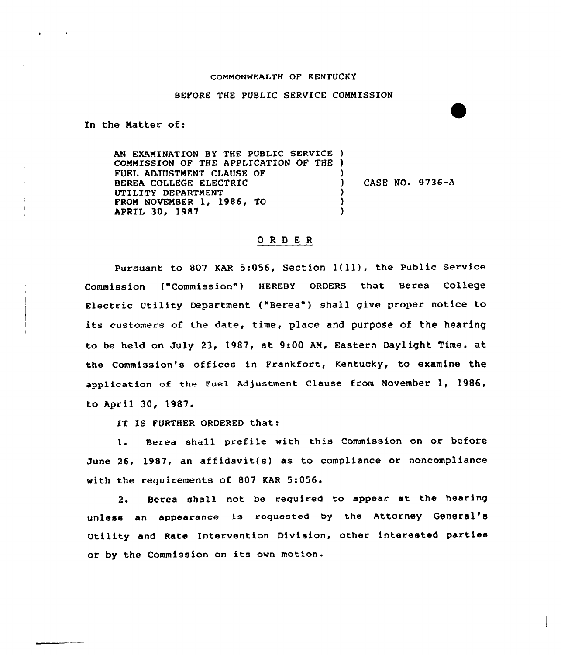## COMMONWEALTH OF KENTUCKY

## BEFORE THE PUBLIC SERVICE CONNISSION

In the Matter of:

AN EXAMINATION BY THE PUBLIC SERVICE ) CONNISSION OF THE APPLICATION OF THE ) FUEL ADJUSTMENT CLAUSE OF BEREA COLLEGE ELECTRIC UTILITY DEPARTMENT FROM NOVEMBER 1, 1986, TO APRIL 30, 1987 ) ) CASE NO. 9736-A ) )  $\lambda$ 

## ORDER

Pursuant to 807 KAR 5:056, Section 1(11), the Public Service Commission ("Commission" ) HEREBY ORDERS that Berea College Electric Utility Department ("Berea") shall give proper notice to its customers of the date, time, place and purpose of the hearing to be held on July 23, 1987, at 9:00 AN, Eastern Daylight Time, at the Commission's offices in Frankfort, Kentucky, to examine the application of the Fuel Adjustment clause from November 1, 1986, to April 30, 1987.

IT IS FURTHER ORDERED that:

1. Berea shall prefile with this Commission on or before June 26, 1987, an affidavit(s) as to compliance or noncompliance with the requirements of 807 KAR 5:056.

2. Berea shall not be required to appear at the hearing unless an appearance is requested by the Attorney General's Utility and Rate Intervention Division, other interested parties or by the Commission on its own motion.